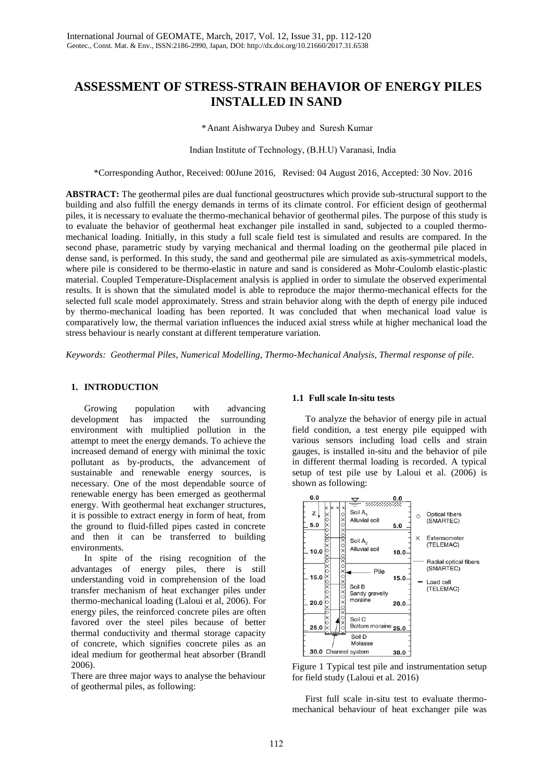# **ASSESSMENT OF STRESS-STRAIN BEHAVIOR OF ENERGY PILES INSTALLED IN SAND**

\*Anant Aishwarya Dubey and Suresh Kumar

Indian Institute of Technology, (B.H.U) Varanasi, India

\*Corresponding Author, Received: 00June 2016, Revised: 04 August 2016, Accepted: 30 Nov. 2016

**ABSTRACT:** The geothermal piles are dual functional geostructures which provide sub-structural support to the building and also fulfill the energy demands in terms of its climate control. For efficient design of geothermal piles, it is necessary to evaluate the thermo-mechanical behavior of geothermal piles. The purpose of this study is to evaluate the behavior of geothermal heat exchanger pile installed in sand, subjected to a coupled thermomechanical loading. Initially, in this study a full scale field test is simulated and results are compared. In the second phase, parametric study by varying mechanical and thermal loading on the geothermal pile placed in dense sand, is performed. In this study, the sand and geothermal pile are simulated as axis-symmetrical models, where pile is considered to be thermo-elastic in nature and sand is considered as Mohr-Coulomb elastic-plastic material. Coupled Temperature-Displacement analysis is applied in order to simulate the observed experimental results. It is shown that the simulated model is able to reproduce the major thermo-mechanical effects for the selected full scale model approximately. Stress and strain behavior along with the depth of energy pile induced by thermo-mechanical loading has been reported. It was concluded that when mechanical load value is comparatively low, the thermal variation influences the induced axial stress while at higher mechanical load the stress behaviour is nearly constant at different temperature variation.

*Keywords: Geothermal Piles, Numerical Modelling, Thermo-Mechanical Analysis, Thermal response of pile.* 

### **1. INTRODUCTION**

Growing population with advancing development has impacted the surrounding environment with multiplied pollution in the attempt to meet the energy demands. To achieve the increased demand of energy with minimal the toxic pollutant as by-products, the advancement of sustainable and renewable energy sources, is necessary. One of the most dependable source of renewable energy has been emerged as geothermal energy. With geothermal heat exchanger structures, it is possible to extract energy in form of heat, from the ground to fluid-filled pipes casted in concrete and then it can be transferred to building environments.

In spite of the rising recognition of the advantages of energy piles, there is still understanding void in comprehension of the load transfer mechanism of heat exchanger piles under thermo-mechanical loading (Laloui et al, 2006). For energy piles, the reinforced concrete piles are often favored over the steel piles because of better thermal conductivity and thermal storage capacity of concrete, which signifies concrete piles as an ideal medium for geothermal heat absorber (Brandl 2006).

There are three major ways to analyse the behaviour of geothermal piles, as following:

#### **1.1 Full scale In-situ tests**

To analyze the behavior of energy pile in actual field condition, a test energy pile equipped with various sensors including load cells and strain gauges, is installed in-situ and the behavior of pile in different thermal loading is recorded. A typical setup of test pile use by Laloui et al. (2006) is shown as following:



Figure 1 Typical test pile and instrumentation setup for field study (Laloui et al. 2016)

First full scale in-situ test to evaluate thermomechanical behaviour of heat exchanger pile was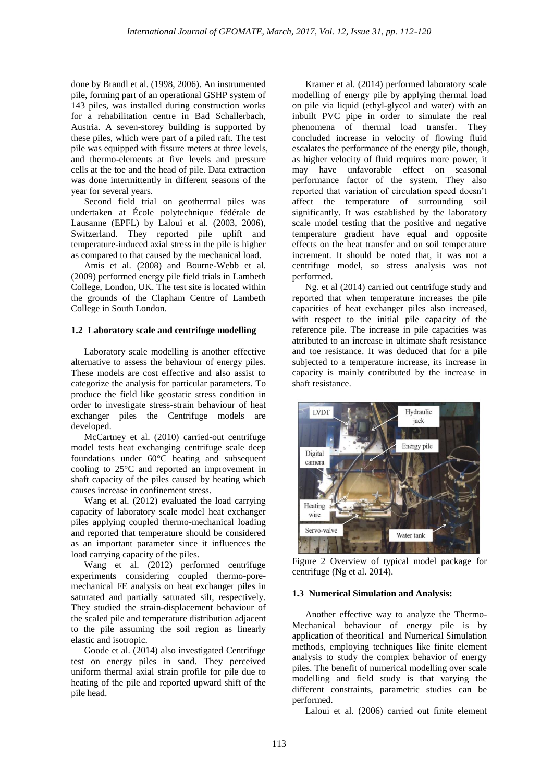done by Brandl et al. (1998, 2006). An instrumented pile, forming part of an operational GSHP system of 143 piles, was installed during construction works for a rehabilitation centre in Bad Schallerbach, Austria. A seven-storey building is supported by these piles, which were part of a piled raft. The test pile was equipped with fissure meters at three levels, and thermo-elements at five levels and pressure cells at the toe and the head of pile. Data extraction was done intermittently in different seasons of the year for several years.

Second field trial on geothermal piles was undertaken at École polytechnique fédérale de Lausanne (EPFL) by Laloui et al. (2003, 2006), Switzerland. They reported pile uplift and temperature-induced axial stress in the pile is higher as compared to that caused by the mechanical load.

Amis et al. (2008) and Bourne-Webb et al. (2009) performed energy pile field trials in Lambeth College, London, UK. The test site is located within the grounds of the Clapham Centre of Lambeth College in South London.

# **1.2 Laboratory scale and centrifuge modelling**

Laboratory scale modelling is another effective alternative to assess the behaviour of energy piles. These models are cost effective and also assist to categorize the analysis for particular parameters. To produce the field like geostatic stress condition in order to investigate stress-strain behaviour of heat exchanger piles the Centrifuge models are developed.

McCartney et al. (2010) carried-out centrifuge model tests heat exchanging centrifuge scale deep foundations under 60°C heating and subsequent cooling to 25°C and reported an improvement in shaft capacity of the piles caused by heating which causes increase in confinement stress.

Wang et al. (2012) evaluated the load carrying capacity of laboratory scale model heat exchanger piles applying coupled thermo-mechanical loading and reported that temperature should be considered as an important parameter since it influences the load carrying capacity of the piles.

Wang et al. (2012) performed centrifuge experiments considering coupled thermo-poremechanical FE analysis on heat exchanger piles in saturated and partially saturated silt, respectively. They studied the strain-displacement behaviour of the scaled pile and temperature distribution adjacent to the pile assuming the soil region as linearly elastic and isotropic.

Goode et al. (2014) also investigated Centrifuge test on energy piles in sand. They perceived uniform thermal axial strain profile for pile due to heating of the pile and reported upward shift of the pile head.

Kramer et al. (2014) performed laboratory scale modelling of energy pile by applying thermal load on pile via liquid (ethyl-glycol and water) with an inbuilt PVC pipe in order to simulate the real phenomena of thermal load transfer. They concluded increase in velocity of flowing fluid escalates the performance of the energy pile, though, as higher velocity of fluid requires more power, it may have unfavorable effect on seasonal performance factor of the system. They also reported that variation of circulation speed doesn't affect the temperature of surrounding soil significantly. It was established by the laboratory scale model testing that the positive and negative temperature gradient have equal and opposite effects on the heat transfer and on soil temperature increment. It should be noted that, it was not a centrifuge model, so stress analysis was not performed.

Ng. et al (2014) carried out centrifuge study and reported that when temperature increases the pile capacities of heat exchanger piles also increased, with respect to the initial pile capacity of the reference pile. The increase in pile capacities was attributed to an increase in ultimate shaft resistance and toe resistance. It was deduced that for a pile subjected to a temperature increase, its increase in capacity is mainly contributed by the increase in shaft resistance.



Figure 2 Overview of typical model package for centrifuge (Ng et al. 2014).

### **1.3 Numerical Simulation and Analysis:**

Another effective way to analyze the Thermo-Mechanical behaviour of energy pile is by application of theoritical and Numerical Simulation methods, employing techniques like finite element analysis to study the complex behavior of energy piles. The benefit of numerical modelling over scale modelling and field study is that varying the different constraints, parametric studies can be performed.

Laloui et al. (2006) carried out finite element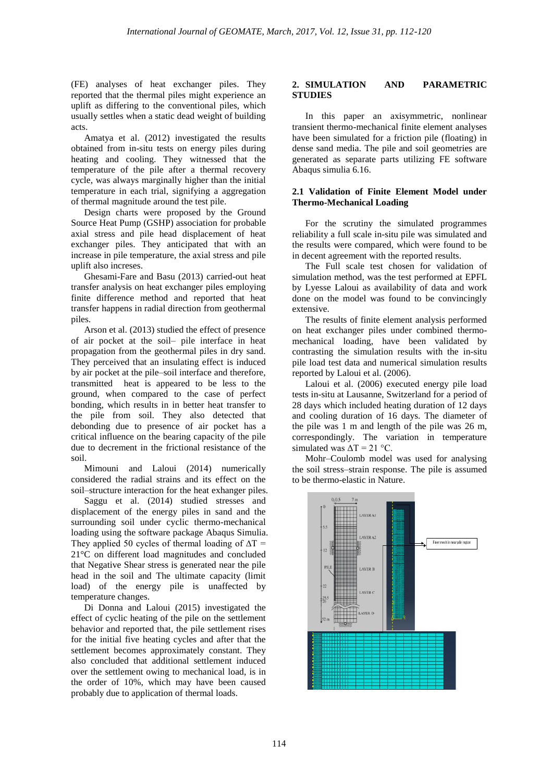(FE) analyses of heat exchanger piles. They reported that the thermal piles might experience an uplift as differing to the conventional piles, which usually settles when a static dead weight of building acts.

Amatya et al. (2012) investigated the results obtained from in-situ tests on energy piles during heating and cooling. They witnessed that the temperature of the pile after a thermal recovery cycle, was always marginally higher than the initial temperature in each trial, signifying a aggregation of thermal magnitude around the test pile.

Design charts were proposed by the Ground Source Heat Pump (GSHP) association for probable axial stress and pile head displacement of heat exchanger piles. They anticipated that with an increase in pile temperature, the axial stress and pile uplift also increses.

Ghesami-Fare and Basu (2013) carried-out heat transfer analysis on heat exchanger piles employing finite difference method and reported that heat transfer happens in radial direction from geothermal piles.

Arson et al. (2013) studied the effect of presence of air pocket at the soil– pile interface in heat propagation from the geothermal piles in dry sand. They perceived that an insulating effect is induced by air pocket at the pile–soil interface and therefore, transmitted heat is appeared to be less to the ground, when compared to the case of perfect bonding, which results in in better heat transfer to the pile from soil. They also detected that debonding due to presence of air pocket has a critical influence on the bearing capacity of the pile due to decrement in the frictional resistance of the soil.

Mimouni and Laloui (2014) numerically considered the radial strains and its effect on the soil–structure interaction for the heat exhanger piles.

Saggu et al. (2014) studied stresses and displacement of the energy piles in sand and the surrounding soil under cyclic thermo-mechanical loading using the software package Abaqus Simulia. They applied 50 cycles of thermal loading of  $\Delta T =$ 21°C on different load magnitudes and concluded that Negative Shear stress is generated near the pile head in the soil and The ultimate capacity (limit load) of the energy pile is unaffected by temperature changes.

Di Donna and Laloui (2015) investigated the effect of cyclic heating of the pile on the settlement behavior and reported that, the pile settlement rises for the initial five heating cycles and after that the settlement becomes approximately constant. They also concluded that additional settlement induced over the settlement owing to mechanical load, is in the order of 10%, which may have been caused probably due to application of thermal loads.

# **2. SIMULATION AND PARAMETRIC STUDIES**

In this paper an axisymmetric, nonlinear transient thermo-mechanical finite element analyses have been simulated for a friction pile (floating) in dense sand media. The pile and soil geometries are generated as separate parts utilizing FE software Abaqus simulia 6.16.

# **2.1 Validation of Finite Element Model under Thermo-Mechanical Loading**

For the scrutiny the simulated programmes reliability a full scale in-situ pile was simulated and the results were compared, which were found to be in decent agreement with the reported results.

The Full scale test chosen for validation of simulation method, was the test performed at EPFL by Lyesse Laloui as availability of data and work done on the model was found to be convincingly extensive.

The results of finite element analysis performed on heat exchanger piles under combined thermomechanical loading, have been validated by contrasting the simulation results with the in-situ pile load test data and numerical simulation results reported by Laloui et al. (2006).

Laloui et al. (2006) executed energy pile load tests in-situ at Lausanne, Switzerland for a period of 28 days which included heating duration of 12 days and cooling duration of 16 days. The diameter of the pile was 1 m and length of the pile was 26 m, correspondingly. The variation in temperature simulated was  $\Delta T = 21$  °C.

Mohr–Coulomb model was used for analysing the soil stress–strain response. The pile is assumed to be thermo-elastic in Nature.

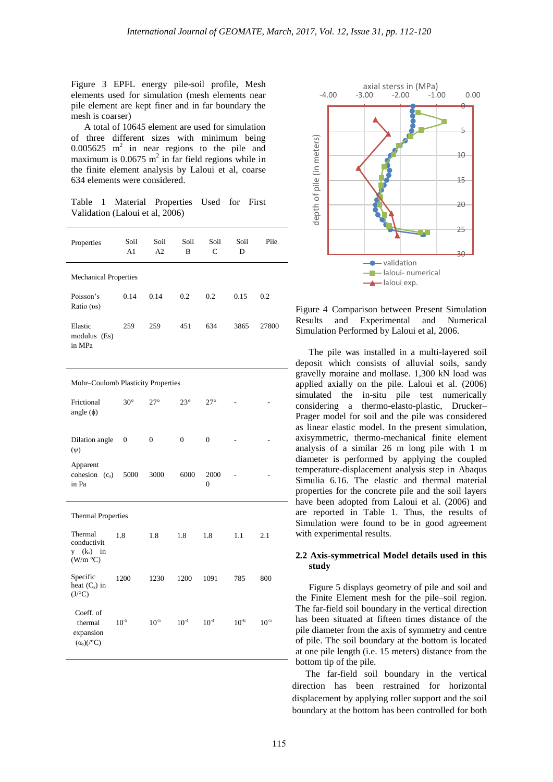Figure 3 EPFL energy pile-soil profile, Mesh elements used for simulation (mesh elements near pile element are kept finer and in far boundary the mesh is coarser)

A total of 10645 element are used for simulation of three different sizes with minimum being  $0.005625$  m<sup>2</sup> in near regions to the pile and maximum is  $0.0675$  m<sup>2</sup> in far field regions while in the finite element analysis by Laloui et al, coarse 634 elements were considered.

Table 1 Material Properties Used for First Validation (Laloui et al, 2006)

| Properties                                              | Soil<br>A1       | Soil<br>A2   | Soil<br>B    | Soil<br>C        | Soil<br>D | Pile      |  |
|---------------------------------------------------------|------------------|--------------|--------------|------------------|-----------|-----------|--|
| <b>Mechanical Properties</b>                            |                  |              |              |                  |           |           |  |
| Poisson's<br>Ratio (vs)                                 | 0.14             | 0.14         | 0.2          | 0.2              | 0.15      | 0.2       |  |
| Elastic<br>modulus (Es)<br>in MPa                       | 259              | 259          | 451          | 634              | 3865      | 27800     |  |
| Mohr-Coulomb Plasticity Properties                      |                  |              |              |                  |           |           |  |
| Frictional<br>angle $(\phi)$                            | $30^\circ$       | $27^{\circ}$ | $23^{\circ}$ | $27^{\circ}$     |           |           |  |
| Dilation angle<br>$(\psi)$                              | $\boldsymbol{0}$ | $\mathbf{0}$ | $\mathbf{0}$ | $\mathbf{0}$     |           |           |  |
| Apparent<br>cohesion $(c_s)$<br>in Pa                   | 5000             | 3000         | 6000         | 2000<br>$\theta$ |           |           |  |
| <b>Thermal Properties</b>                               |                  |              |              |                  |           |           |  |
| Thermal<br>conductivit<br>$y$ $(k_s)$ in<br>(W/m °C)    | 1.8              | 1.8          | 1.8          | 1.8              | 1.1       | 2.1       |  |
| Specific<br>heat $(C_s)$ in<br>$(J$ /°C)                | 1200             | 1230         | 1200         | 1091             | 785       | 800       |  |
| Coeff. of<br>thermal<br>expansion<br>$(\alpha_s)$ (/°C) | $10^{-5}$        | $10^{-5}\,$  | $10^{-4}$    | $10^{-4}$        | $10^{-6}$ | $10^{-5}$ |  |



Figure 4 Comparison between Present Simulation Results and Experimental and Numerical Simulation Performed by Laloui et al, 2006.

The pile was installed in a multi-layered soil deposit which consists of alluvial soils, sandy gravelly moraine and mollase. 1,300 kN load was applied axially on the pile. Laloui et al. (2006) simulated the in-situ pile test numerically considering a thermo-elasto-plastic, Drucker– Prager model for soil and the pile was considered as linear elastic model. In the present simulation, axisymmetric, thermo-mechanical finite element analysis of a similar 26 m long pile with 1 m diameter is performed by applying the coupled temperature-displacement analysis step in Abaqus Simulia 6.16. The elastic and thermal material properties for the concrete pile and the soil layers have been adopted from Laloui et al. (2006) and are reported in Table 1. Thus, the results of Simulation were found to be in good agreement with experimental results.

### **2.2 Axis-symmetrical Model details used in this study**

Figure 5 displays geometry of pile and soil and the Finite Element mesh for the pile–soil region. The far-field soil boundary in the vertical direction has been situated at fifteen times distance of the pile diameter from the axis of symmetry and centre of pile. The soil boundary at the bottom is located at one pile length (i.e. 15 meters) distance from the bottom tip of the pile.

The far-field soil boundary in the vertical direction has been restrained for horizontal displacement by applying roller support and the soil boundary at the bottom has been controlled for both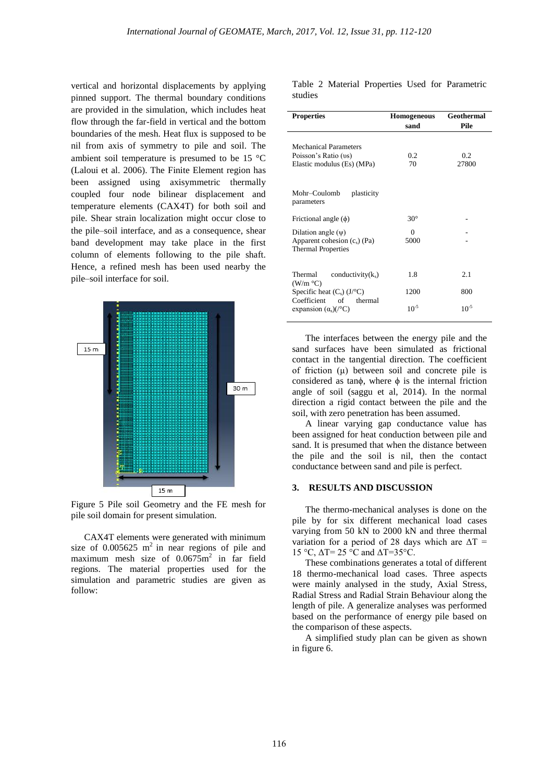vertical and horizontal displacements by applying pinned support. The thermal boundary conditions are provided in the simulation, which includes heat flow through the far-field in vertical and the bottom boundaries of the mesh. Heat flux is supposed to be nil from axis of symmetry to pile and soil. The ambient soil temperature is presumed to be 15 °C (Laloui et al. 2006). The Finite Element region has been assigned using axisymmetric thermally coupled four node bilinear displacement and temperature elements (CAX4T) for both soil and pile. Shear strain localization might occur close to the pile–soil interface, and as a consequence, shear band development may take place in the first column of elements following to the pile shaft. Hence, a refined mesh has been used nearby the pile–soil interface for soil.



Figure 5 Pile soil Geometry and the FE mesh for pile soil domain for present simulation.

CAX4T elements were generated with minimum size of  $0.005625$  m<sup>2</sup> in near regions of pile and maximum mesh size of  $0.0675m^2$  in far field regions. The material properties used for the simulation and parametric studies are given as follow:

Table 2 Material Properties Used for Parametric studies

| <b>Properties</b>                                                                      | <b>Homogeneous</b><br>sand | Geothermal<br>Pile |  |
|----------------------------------------------------------------------------------------|----------------------------|--------------------|--|
| <b>Mechanical Parameters</b><br>Poisson's Ratio (vs)<br>Elastic modulus (Es) (MPa)     | 0.2<br>70                  | 0.2<br>27800       |  |
| Mohr-Coulomb<br>plasticity<br>parameters                                               |                            |                    |  |
| Frictional angle $(\phi)$                                                              | $30^\circ$                 |                    |  |
| Dilation angle $(\psi)$<br>Apparent cohesion $(c_s)$ (Pa)<br><b>Thermal Properties</b> | $\Omega$<br>5000           |                    |  |
| Thermal<br>conductivity $(k_s)$                                                        | 1.8                        | 2.1                |  |
| (W/m °C)<br>Specific heat $(C_s)$ $(J^{\circ}C)$                                       | 1200                       | 800                |  |
| Coefficient<br>thermal<br>of<br>expansion $(\alpha_s)/\mathrm{^{\circ}C}$ )            | $10^{-5}$                  | $10^{-5}$          |  |

The interfaces between the energy pile and the sand surfaces have been simulated as frictional contact in the tangential direction. The coefficient of friction (μ) between soil and concrete pile is considered as tan $\phi$ , where  $\phi$  is the internal friction angle of soil (saggu et al, 2014). In the normal direction a rigid contact between the pile and the soil, with zero penetration has been assumed.

A linear varying gap conductance value has been assigned for heat conduction between pile and sand. It is presumed that when the distance between the pile and the soil is nil, then the contact conductance between sand and pile is perfect.

#### **3. RESULTS AND DISCUSSION**

The thermo-mechanical analyses is done on the pile by for six different mechanical load cases varying from 50 kN to 2000 kN and three thermal variation for a period of 28 days which are  $\Delta T =$ 15 °C, ΔT= 25 °C and ΔT=35°C.

These combinations generates a total of different 18 thermo-mechanical load cases. Three aspects were mainly analysed in the study, Axial Stress, Radial Stress and Radial Strain Behaviour along the length of pile. A generalize analyses was performed based on the performance of energy pile based on the comparison of these aspects.

A simplified study plan can be given as shown in figure 6.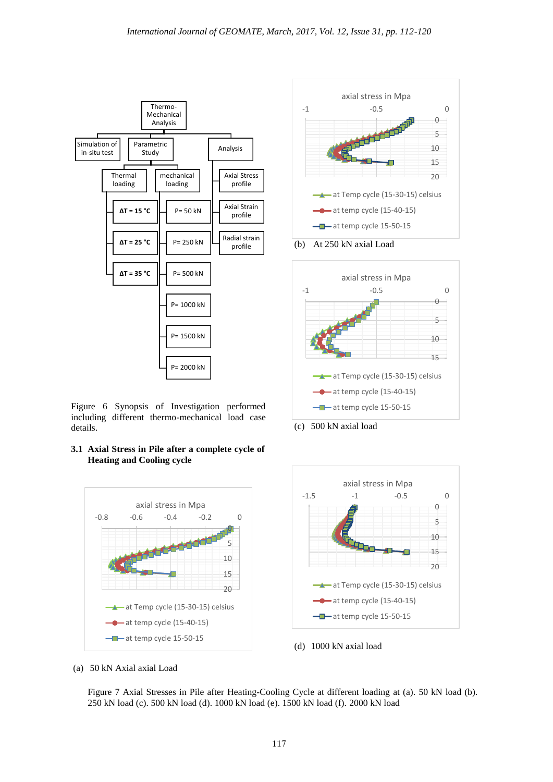

Figure 6 Synopsis of Investigation performed including different thermo-mechanical load case details.

**3.1 Axial Stress in Pile after a complete cycle of Heating and Cooling cycle** 





(b) At 250 kN axial Load



(c) 500 kN axial load



(d) 1000 kN axial load

(a) 50 kN Axial axial Load

Figure 7 Axial Stresses in Pile after Heating-Cooling Cycle at different loading at (a). 50 kN load (b). 250 kN load (c). 500 kN load (d). 1000 kN load (e). 1500 kN load (f). 2000 kN load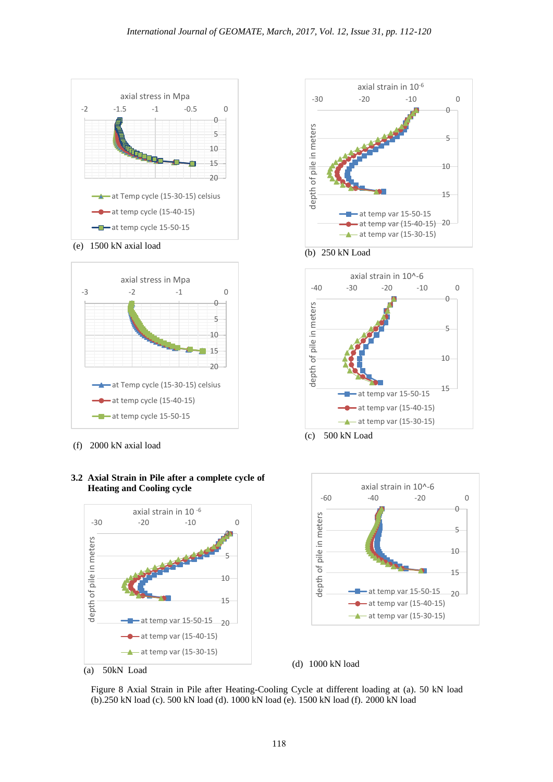





(f) 2000 kN axial load

# **3.2 Axial Strain in Pile after a complete cycle of Heating and Cooling cycle**



axial strain in 10-6 -30 -20 -10 0  $\theta$ depth of pile in meters depth of pile in meters 5 10 15  $-$  at temp var 15-50-15 at temp var (15-40-15) 20  $\rightarrow$  at temp var (15-30-15)







(d) 1000 kN load

Figure 8 Axial Strain in Pile after Heating-Cooling Cycle at different loading at (a). 50 kN load (b).250 kN load (c). 500 kN load (d). 1000 kN load (e). 1500 kN load (f). 2000 kN load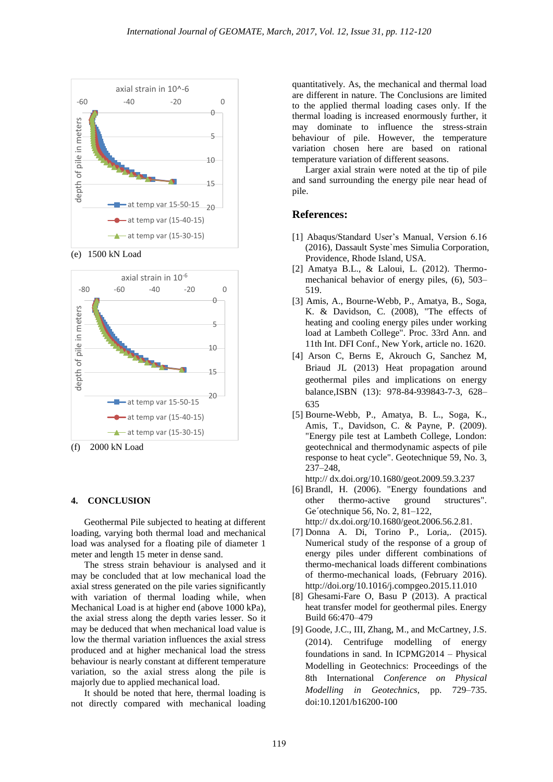

(e) 1500 kN Load



#### **4. CONCLUSION**

Geothermal Pile subjected to heating at different loading, varying both thermal load and mechanical load was analysed for a floating pile of diameter 1 meter and length 15 meter in dense sand.

The stress strain behaviour is analysed and it may be concluded that at low mechanical load the axial stress generated on the pile varies significantly with variation of thermal loading while, when Mechanical Load is at higher end (above 1000 kPa), the axial stress along the depth varies lesser. So it may be deduced that when mechanical load value is low the thermal variation influences the axial stress produced and at higher mechanical load the stress behaviour is nearly constant at different temperature variation, so the axial stress along the pile is majorly due to applied mechanical load.

It should be noted that here, thermal loading is not directly compared with mechanical loading quantitatively. As, the mechanical and thermal load are different in nature. The Conclusions are limited to the applied thermal loading cases only. If the thermal loading is increased enormously further, it may dominate to influence the stress-strain behaviour of pile. However, the temperature variation chosen here are based on rational temperature variation of different seasons.

Larger axial strain were noted at the tip of pile and sand surrounding the energy pile near head of pile.

# **References:**

- [1] Abaqus/Standard User's Manual, Version 6.16 (2016), Dassault Syste`mes Simulia Corporation, Providence, Rhode Island, USA.
- [2] Amatya B.L., & Laloui, L. (2012). Thermomechanical behavior of energy piles, (6), 503– 519.
- [3] Amis, A., Bourne-Webb, P., Amatya, B., Soga, K. & Davidson, C. (2008), "The effects of heating and cooling energy piles under working load at Lambeth College". Proc. 33rd Ann. and 11th Int. DFI Conf., New York, article no. 1620.
- [4] Arson C, Berns E, Akrouch G, Sanchez M, Briaud JL (2013) Heat propagation around geothermal piles and implications on energy balance,ISBN (13): 978-84-939843-7-3, 628– 635
- [5] Bourne-Webb, P., Amatya, B. L., Soga, K., Amis, T., Davidson, C. & Payne, P. (2009). "Energy pile test at Lambeth College, London: geotechnical and thermodynamic aspects of pile response to heat cycle". Geotechnique 59, No. 3, 237–248,
	- http:// dx.doi.org/10.1680/geot.2009.59.3.237
- [6] Brandl, H. (2006). "Energy foundations and other thermo-active ground structures". Ge´otechnique 56, No. 2, 81–122, http:// dx.doi.org/10.1680/geot.2006.56.2.81.
- [7] Donna A. Di, Torino P., Loria,. (2015). Numerical study of the response of a group of energy piles under different combinations of thermo-mechanical loads different combinations of thermo-mechanical loads, (February 2016). http://doi.org/10.1016/j.compgeo.2015.11.010
- [8] Ghesami-Fare O, Basu P (2013). A practical heat transfer model for geothermal piles. Energy Build 66:470–479
- [9] Goode, J.C., III, Zhang, M., and McCartney, J.S. (2014). Centrifuge modelling of energy foundations in sand. In ICPMG2014 – Physical Modelling in Geotechnics: Proceedings of the 8th International *Conference on Physical Modelling in Geotechnics*, pp. 729–735. doi:10.1201/b16200-100